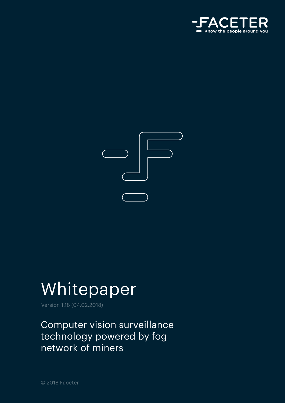



## Whitepaper

Version 1.18 (04.02.2018)

Сomputer vision surveillance technology powered by fog network of miners

© 2018 Faceter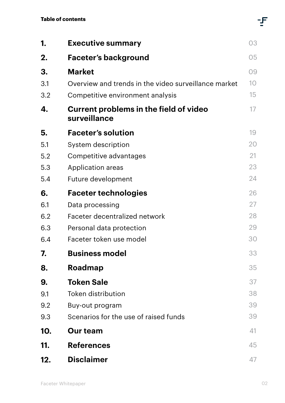| 1.  | <b>Executive summary</b>                                      | 03 |
|-----|---------------------------------------------------------------|----|
| 2.  | <b>Faceter's background</b>                                   | 05 |
| 3.  | <b>Market</b>                                                 | 09 |
| 3.1 | Overview and trends in the video surveillance market          | 10 |
| 3.2 | Competitive environment analysis                              | 15 |
| 4.  | <b>Current problems in the field of video</b><br>surveillance | 17 |
| 5.  | <b>Faceter's solution</b>                                     | 19 |
| 5.1 | System description                                            | 20 |
| 5.2 | Competitive advantages                                        | 21 |
| 5.3 | Application areas                                             | 23 |
| 5.4 | Future development                                            | 24 |
| 6.  | <b>Faceter technologies</b>                                   | 26 |
| 6.1 | Data processing                                               | 27 |
| 6.2 | Faceter decentralized network                                 | 28 |
| 6.3 | Personal data protection                                      | 29 |
| 6.4 | Faceter token use model                                       | 30 |
| 7.  | <b>Business model</b>                                         | 33 |
| 8.  | Roadmap                                                       | 35 |
| 9.  | <b>Token Sale</b>                                             | 37 |
| 9.1 | <b>Token distribution</b>                                     | 38 |
| 9.2 | Buy-out program                                               | 39 |
| 9.3 | Scenarios for the use of raised funds                         | 39 |
| 10. | <b>Our team</b>                                               | 41 |
| 11. | <b>References</b>                                             | 45 |
| 12. | <b>Disclaimer</b>                                             | 47 |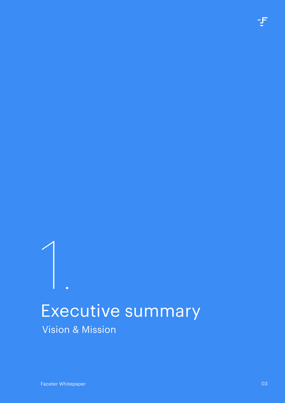# <span id="page-2-0"></span>Executive summary Vision & Mission 1.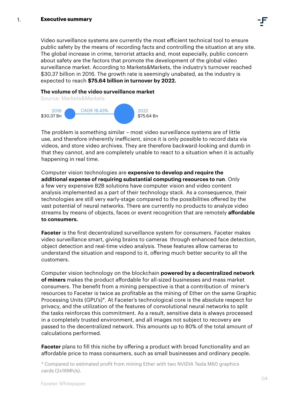Video surveillance systems are currently the most efficient technical tool to ensure public safety by the means of recording facts and controlling the situation at any site. The global increase in crime, terrorist attacks and, most especially, public concern about safety are the factors that promote the development of the global video surveillance market. According to Markets&Markets, the industry's turnover reached \$30.37 billion in 2016. The growth rate is seemingly unabated, as the industry is expected to reach **\$75.64 billion in turnover by 2022.** 

### **The volume of the video surveillance market**



The problem is something similar – most video surveillance systems are of little use, and therefore inherently inefficient, since it is only possible to record data via videos, and store video archives. They are therefore backward-looking and dumb in that they cannot, and are completely unable to react to a situation when it is actually happening in real time.

Computer vision technologies are **expensive to develop and require the additional expense of requiring substantial computing resources to run**. Only a few very expensive B2B solutions have computer vision and video content analysis implemented as a part of their technology stack. As a consequence, their technologies are still very early-stage compared to the possibilities offered by the vast potential of neural networks. There are currently no products to analyze video streams by means of objects, faces or event recognition that are remotely **affordable to consumers.**

**Faceter** is the first decentralized surveillance system for consumers. Faceter makes video surveillance smart, giving brains to cameras through enhanced face detection, object detection and real-time video analysis. These features allow cameras to understand the situation and respond to it, offering much better security to all the customers.

Computer vision technology on the blockchain **powered by a decentralized network of miners** makes the product affordable for all-sized businesses and mass market consumers. The benefit from a mining perspective is that a contribution of miner's resources to Faceter is twice as profitable as the mining of Ether on the same Graphic Processing Units (GPU's)\*. At Faceter's technological core is the absolute respect for privacy, and the utilization of the features of convolutional neural networks to split the tasks reinforces this commitment. As a result, sensitive data is always processed in a completely trusted environment, and all images not subject to recovery are passed to the decentralized network. This amounts up to 80% of the total amount of calculations performed.

**Faceter** plans to fill this niche by offering a product with broad functionality and an affordable price to mass consumers, such as small businesses and ordinary people.

\* Compared to estimated profit from mining Ether with two NVIDIA Tesla M60 graphics cards (2x16Mh/s).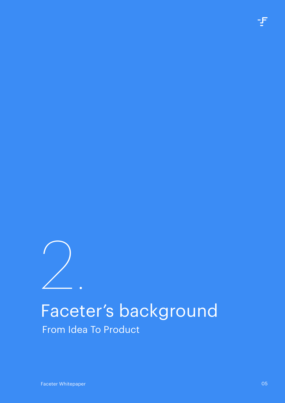<span id="page-4-0"></span>

# Faceter's background

From Idea To Product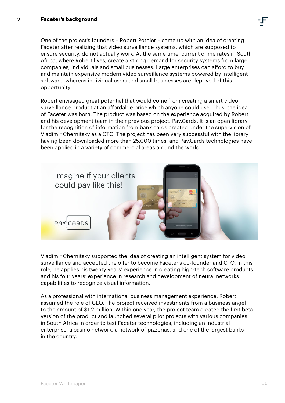#### <span id="page-5-0"></span>**Faceter's background** 2.

One of the project's founders – Robert Pothier – came up with an idea of creating Faceter after realizing that video surveillance systems, which are supposed to ensure security, do not actually work. At the same time, current crime rates in South Africa, where Robert lives, create a strong demand for security systems from large companies, individuals and small businesses. Large enterprises can afford to buy and maintain expensive modern video surveillance systems powered by intelligent software, whereas individual users and small businesses are deprived of this opportunity.

Robert envisaged great potential that would come from creating a smart video surveillance product at an affordable price which anyone could use. Thus, the idea of Faceter was born. The product was based on the experience acquired by Robert and his development team in their previous project: Pay.Cards. It is an open library for the recognition of information from bank cards created under the supervision of Vladimir Chernitsky as a CTO. The project has been very successful with the library having been downloaded more than 25,000 times, and Pay.Cards technologies have been applied in a variety of commercial areas around the world.



Vladimir Chernitsky supported the idea of creating an intelligent system for video surveillance and accepted the offer to become Faceter's co-founder and CTO. In this role, he applies his twenty years' experience in creating high-tech software products and his four years' experience in research and development of neural networks capabilities to recognize visual information.

As a professional with international business management experience, Robert assumed the role of CEO. The project received investments from a business angel to the amount of \$1.2 million. Within one year, the project team created the first beta version of the product and launched several pilot projects with various companies in South Africa in order to test Faceter technologies, including an industrial enterprise, a casino network, a network of pizzerias, and one of the largest banks in the country.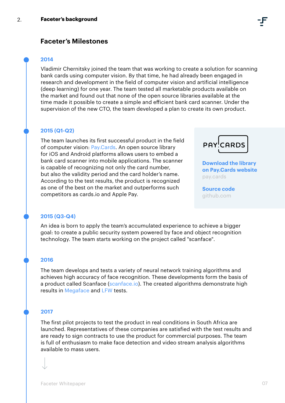## **Faceter's Milestones**

#### **2014**

Vladimir Chernitsky joined the team that was working to create a solution for scanning bank cards using computer vision. By that time, he had already been engaged in research and development in the field of computer vision and artificial intelligence (deep learning) for one year. The team tested all marketable products available on the market and found out that none of the open source libraries available at the time made it possible to create a simple and efficient bank card scanner. Under the supervision of the new CTO, the team developed a plan to create its own product.

#### **2015 (Q1-Q2)**

The team launches its first successful product in the field of computer vision: [Pay.Cards](https://pay.cards/). An open source library for iOS and Android platforms allows users to embed a bank card scanner into mobile applications. The scanner is capable of recognizing not only the card number, but also the validity period and the card holder's name. According to the test results, the product is recognized as one of the best on the market and outperforms such competitors as cards.io and Apple Pay.



**[Download the library](https://pay.cards/pages/sdk.html)  [on Pay.Cards website](https://pay.cards/pages/sdk.html)** pay.cards

**[Source code](https://github.com/faceterteam/PayCards-IOS-framework)**  github.com

#### **2015 (Q3-Q4)**

An idea is born to apply the team's accumulated experience to achieve a bigger goal: to create a public security system powered by face and object recognition technology. The team starts working on the project called "scanface".

#### **2016**

The team develops and tests a variety of neural network training algorithms and achieves high accuracy of face recognition. These developments form the basis of a product called Scanface ([scanface.io\)](http://scanface.io/). The created algorithms demonstrate high results in [Megaface](http://megaface.cs.washington.edu/) and [LFW](http://vis-www.cs.umass.edu/lfw/) tests.

#### **2017**

The first pilot projects to test the product in real conditions in South Africa are launched. Representatives of these companies are satisfied with the test results and are ready to sign contracts to use the product for commercial purposes. The team is full of enthusiasm to make face detection and video stream analysis algorithms available to mass users.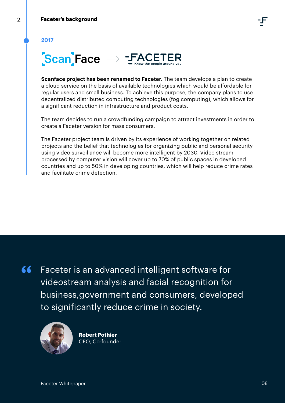**2017**



**Scanface project has been renamed to Faceter.** The team develops a plan to create a cloud service on the basis of available technologies which would be affordable for regular users and small business. To achieve this purpose, the company plans to use decentralized distributed computing technologies (fog computing), which allows for a significant reduction in infrastructure and product costs.

The team decides to run a crowdfunding campaign to attract investments in order to create a Faceter version for mass consumers.

The Faceter project team is driven by its experience of working together on related projects and the belief that technologies for organizing public and personal security using video surveillance will become more intelligent by 2030. Video stream processed by computer vision will cover up to 70% of public spaces in developed countries and up to 50% in developing countries, which will help reduce crime rates and facilitate crime detection.

Faceter is an advanced intelligent software for videostream analysis and facial recognition for business,government and consumers, developed to significantly reduce crime in society.



**Robert Pothier** CEO, Сo-founder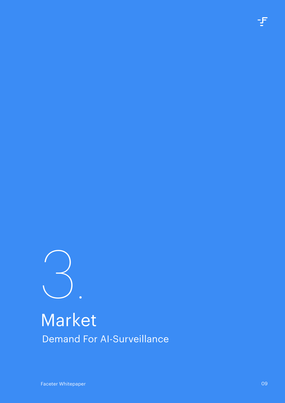<span id="page-8-0"></span>

## Market Demand For AI-Surveillance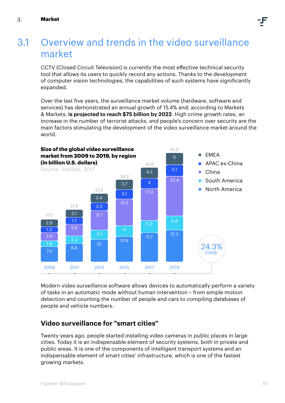## <span id="page-9-0"></span>Overview and trends in the video surveillance market 3.1

CCTV (Closed Circuit Television) is currently the most effective technical security tool that allows its users to quickly record any actions. Thanks to the development of computer vision technologies, the capabilities of such systems have significantly expanded.

Over the last five years, the surveillance market volume (hardware, software and services) has demonstrated an annual growth of 15.4% and, according to Markets & Markets, **is projected to reach \$75 billion by 2022**. High crime growth rates, an increase in the number of terrorist attacks, and people's concern over security are the main factors stimulating the development of the video surveillance market around the world.



Modern video surveillance software allows devices to automatically perform a variety of tasks in an automatic mode without human intervention – from simple motion detection and counting the number of people and cars to compiling databases of people and vehicle numbers.

## **Video surveillance for "smart cities"**

Twenty years ago, people started installing video cameras in public places in large cities. Today it is an indispensable element of security systems, both in private and public areas. It is one of the components of intelligent transport systems and an indispensable element of smart cities' infrastructure, which is one of the fastest growing markets.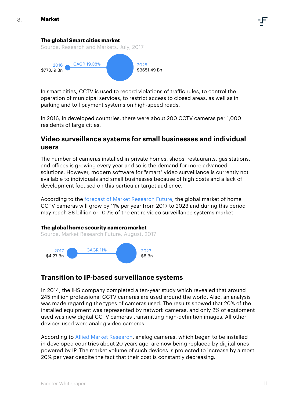#### **The global Smart cities market**

Source: Research and Markets, July, 2017



In smart cities, CCTV is used to record violations of traffic rules, to control the operation of municipal services, to restrict access to closed areas, as well as in parking and toll payment systems on high-speed roads.

In 2016, in developed countries, there were about 200 CCTV cameras per 1,000 residents of large cities.

## **Video surveillance systems for small businesses and individual users**

The number of cameras installed in private homes, shops, restaurants, gas stations, and offices is growing every year and so is the demand for more advanced solutions. However, modern software for "smart" video surveillance is currently not available to individuals and small businesses because of high costs and a lack of development focused on this particular target audience.

According to the forecast of [Market Research Future,](https://www.marketresearchfuture.com/reports/home-security-camera-market-3787) the global market of home CCTV cameras will grow by 11% per year from 2017 to 2023 and during this period may reach \$8 billion or 10.7% of the entire video surveillance systems market.

#### **The global home security camera market**

Source: Market Research Future, August, 2017



## **Transition to IP-based surveillance systems**

In 2014, the IHS company completed a ten-year study which revealed that around 245 million professional CCTV cameras are used around the world. Also, an analysis was made regarding the types of cameras used. The results showed that 20% of the installed equipment was represented by network cameras, and only 2% of equipment used was new digital CCTV cameras transmitting high-definition images. All other devices used were analog video cameras.

According to [Allied Market Research](https://www.alliedmarketresearch.com/IP-video-surveillance-VSaaS-market), analog cameras, which began to be installed in developed countries about 20 years ago, are now being replaced by digital ones powered by IP. The market volume of such devices is projected to increase by almost 20% per year despite the fact that their cost is constantly decreasing.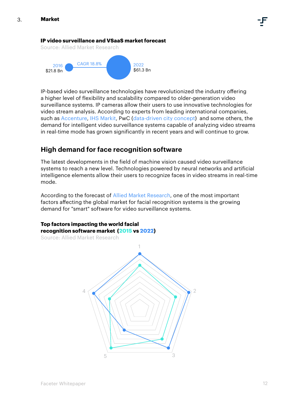#### **IP video surveillance and VSaaS market forecast**

Source: Allied Market Research



IP-based video surveillance technologies have revolutionized the industry offering a higher level of flexibility and scalability compared to older-generation video surveillance systems. IP cameras allow their users to use innovative technologies for video stream analysis. According to experts from leading international companies, such as [Accenture,](https://www.accenture.com/t20150523T055755__w__/us-en/_acnmedia/Accenture/Conversion-Assets/DotCom/Documents/Global/PDF/Technology_2/Accenture-Video-Analytics-Operational-Marketing-and-Security-Insights-from-CCTV.pdf) [IHS Markit](https://technology.ihs.com/api/binary/572252), PwC [\(data-driven city concept](https://www.slideshare.net/FilippPaster/pwc-data-driven-cities-2016)) and some others, the demand for intelligent video surveillance systems capable of analyzing video streams in real-time mode has grown significantly in recent years and will continue to grow.

## **High demand for face recognition software**

The latest developments in the field of machine vision caused video surveillance systems to reach a new level. Technologies powered by neural networks and artificial intelligence elements allow their users to recognize faces in video streams in real-time mode.

According to the forecast of [Allied Market Research,](https://www.alliedmarketresearch.com/facial-recognition-market?facial-recognition-market) one of the most important factors affecting the global market for facial recognition systems is the growing demand for "smart" software for video surveillance systems.

#### **Top factors impacting the world facial recognition software market (2015 vs 2022)**

Source: Allied Market Research

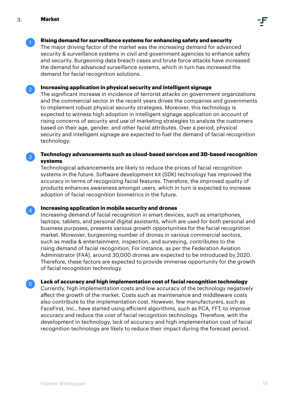

2

 $\left| 4 \right|$ 

 $5<sup>1</sup>$ 

#### **Rising demand for surveillance systems for enhancing safety and security**

The major driving factor of the market was the increasing demand for advanced security & surveillance systems in civil and government agencies to enhance safety and security. Burgeoning data breach cases and brute force attacks have increased the demand for advanced surveillance systems, which in turn has increased the demand for facial recognition solutions.

**Increasing application in physical security and intelligent signage**

The significant increase in incidence of terrorist attacks on government organizations and the commercial sector in the recent years drives the companies and governments to implement robust physical security strategies. Moreover, this technology is expected to witness high adoption in intelligent signage application on account of rising concerns of security and use of marketing strategies to analyze the customers based on their age, gender, and other facial attributes. Over a period, physical security and intelligent signage are expected to fuel the demand of facial recognition technology.

#### $\sqrt{3}$ **Technology advancements such as cloud-based services and 3D-based recognition systems**

Technological advancements are likely to reduce the prices of facial recognition systems in the future. Software development kit (SDK) technology has improved the accuracy in terms of recognizing facial features. Therefore, the improved quality of products enhances awareness amongst users, which in turn is expected to increase adoption of facial recognition biometrics in the future.

#### **Increasing application in mobile security and drones**

Increasing demand of facial recognition in smart devices, such as smartphones, laptops, tablets, and personal digital assistants, which are used for both personal and business purposes, presents various growth opportunities for the facial recognition market. Moreover, burgeoning number of drones in various commercial sectors, such as media & entertainment, inspection, and surveying, contributes to the rising demand of facial recognition. For instance, as per the Federation Aviation Administrator (FAA), around 30,000 drones are expected to be introduced by 2020. Therefore, these factors are expected to provide immense opportunity for the growth of facial recognition technology.

**Lack of accuracy and high implementation cost of facial recognition technology**

Currently, high implementation costs and low accuracy of the technology negatively affect the growth of the market. Costs such as maintenance and middleware costs also contribute to the implementation cost. However, few manufacturers, such as FaceFirst, Inc., have started using efficient algorithms, such as PCA, FFT, to improve accuracy and reduce the cost of facial recognition technology. Therefore, with the development in technology, lack of accuracy and high implementation cost of facial recognition technology are likely to reduce their impact during the forecast period.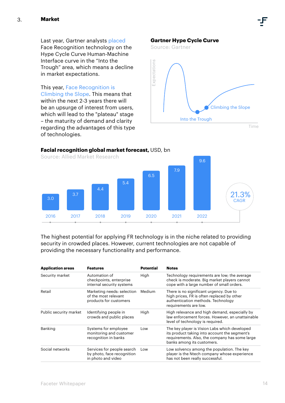Last year, Gartner analysts [placed](https://www.gartner.com/doc/3368017/hype-cycle-humanmachine-interface-&sa=D&ust=1506912378029000&usg=AFQjCNHKHf3fYd1xBYoSUOF3r4puGAw81w) Face Recognition technology on the Hype Cycle Curve Human-Machine Interface curve in the "Into the Trough" area, which means a decline in market expectations.

This year, [Face Recognition is](https://www.gartner.com/doc/3764163?ref=unauthreader&srcId=1-4730952011)  [Climbing the Slope.](https://www.gartner.com/doc/3764163?ref=unauthreader&srcId=1-4730952011) This means that within the next 2-3 years there will be an upsurge of interest from users, which will lead to the "plateau" stage – the maturity of demand and clarity regarding the advantages of this type of technologies.

#### **Gartner Hype Cycle Curve**

Source: Gartner



#### **Facial recognition global market forecast,** USD, bn

Source: [Allied Market Research](http://hospitalitytechnology.edgl.com/news/Facial-Recognition-Market-Expected-to-Reach-$9-6-Billion-Worldwide-by-2022106020) 2016 2017 2018 2019 2020 2021 2022 3.0 **CAGR 2012** 3.7 4.4 5.4 6.5 7.9 9.6  $21.3\%$ <sub>CAGR</sub>

The highest potential for applying FR technology is in the niche related to providing security in crowded places. However, current technologies are not capable of providing the necessary functionality and performance.

| <b>Application areas</b> | <b>Features</b>                                                                | <b>Potential</b> | <b>Notes</b>                                                                                                                                                                   |  |  |
|--------------------------|--------------------------------------------------------------------------------|------------------|--------------------------------------------------------------------------------------------------------------------------------------------------------------------------------|--|--|
| Security market          | Automation of<br>checkpoints, enterprise<br>internal security systems          | High             | Technology requirements are low; the average<br>check is moderate. Big market players cannot<br>cope with a large number of small orders.                                      |  |  |
| Retail                   | Marketing needs: selection<br>of the most relevant<br>products for customers   | Medium           | There is no significant urgency. Due to<br>high prices, FR is often replaced by other<br>authentication methods. Technology<br>requirements are low.                           |  |  |
| Public security market   | Identifying people in<br>crowds and public places                              | High             | High relevance and high demand, especially by<br>law enforcement forces. However, an unattainable<br>level of technology is required.                                          |  |  |
| Banking                  | Systems for employee<br>monitoring and customer<br>recognition in banks        | Low              | The key player is Vision Labs which developed<br>its product taking into account the segment's<br>requirements. Also, the company has some large<br>banks among its customers. |  |  |
| Social networks          | Services for people search<br>by photo, face recognition<br>in photo and video | Low              | Low solvency among the population. The key<br>player is the Ntech company whose experience<br>has not been really successful.                                                  |  |  |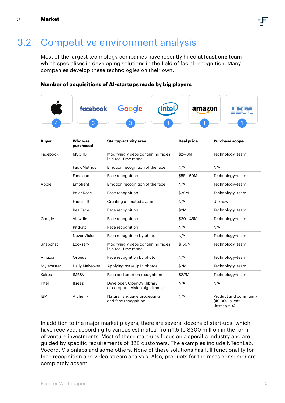## <span id="page-14-0"></span>3.2 Competitive environment analysis

Most of the largest technology companies have recently hired **at least one team** which specialises in developing solutions in the field of facial recognition. Many companies develop these technologies on their own.

#### **Number of acquisitions of AI-startups made by big players**

|              | facebook<br>3        | Google                                                       | <b>inte</b> | amazon            |                               |                       |  |
|--------------|----------------------|--------------------------------------------------------------|-------------|-------------------|-------------------------------|-----------------------|--|
| <b>Buyer</b> | Who was<br>purchased | <b>Startup activity area</b>                                 |             | <b>Deal price</b> | <b>Purchase scope</b>         |                       |  |
| Facebook     | <b>MSQRD</b>         | Modifying videos containing faces<br>in a real-time mode     |             | $$2 - 3M$         |                               | Technology+team       |  |
|              | <b>FacioMetrics</b>  | Emotion recognition of the face                              |             | N/A               | N/A                           |                       |  |
|              | Face.com             | Face recognition                                             |             | $$55 - 60M$       |                               | Technology+team       |  |
| Apple        | Emotient             | Emotion recognition of the face                              |             | N/A               |                               | Technology+team       |  |
|              | Polar Rose           | Face recognition                                             |             | \$29M             |                               | Technology+team       |  |
|              | Faceshift            | Creating animated avatars                                    |             | N/A               | Unknown                       |                       |  |
|              | RealFace             | Face recognition                                             |             | \$2M              |                               | Technology+team       |  |
| Google       | Viewdle              | Face recognition                                             |             | $$30 - 45M$       |                               | Technology+team       |  |
|              | PittPatt             | Face recognition                                             |             | N/A               | N/A                           |                       |  |
|              | Never Vision         | Face recognition by photo                                    |             | N/A               |                               | Technology+team       |  |
| Snapchat     | Looksery             | Modifying videos containing faces<br>in a real-time mode     |             | \$150M            |                               | Technology+team       |  |
| Amazon       | Orbeus               | Face recognition by photo                                    |             | N/A               |                               | Technology+team       |  |
| Stylecaster  | Daily Makeover       | Applying makeup in photos                                    |             | \$2M              |                               | Technology+team       |  |
| Kairos       | <b>IMRSV</b>         | Face and emotion recognition                                 |             | \$2.7M            |                               | Technology+team       |  |
| Intel        | Itseez               | Developer: OpenCV (library<br>of computer vision algorithms) |             | N/A               | N/A                           |                       |  |
| <b>IBM</b>   | Alchemy              | Natural language processing<br>and face recognition          |             | N/A               | (40,000 client<br>developers) | Product and community |  |

In addition to the major market players, there are several dozens of start-ups, which have received, according to various estimates, from 1.5 to \$300 million in the form of venture investments. Most of these start-ups focus on a specific industry and are guided by specific requirements of B2B customers. The examples include NTechLab, Vocord, Visionlabs and some others. None of these solutions has full functionality for face recognition and video stream analysis. Also, products for the mass consumer are completely absent.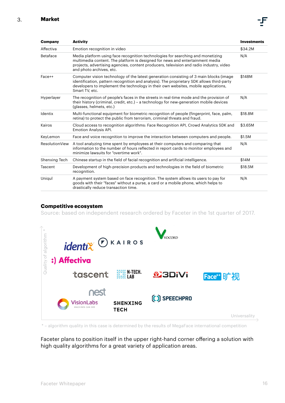| <b>Company</b>        | <b>Activity</b>                                                                                                                                                                                                                                                                             | <b>Investments</b> |
|-----------------------|---------------------------------------------------------------------------------------------------------------------------------------------------------------------------------------------------------------------------------------------------------------------------------------------|--------------------|
| Affectiva             | Emotion recognition in video                                                                                                                                                                                                                                                                | \$34.2M            |
| <b>Betaface</b>       | Media platform using face recognition technologies for searching and monetizing<br>multimedia content. The platform is designed for news and entertainment media<br>projects, advertising agencies, content producers, television and radio industry, video<br>and photo archives, etc.     | N/A                |
| Face++                | Computer vision technology of the latest generation consisting of 3 main blocks (image<br>identification, pattern recognition and analysis). The proprietary SDK allows third-party<br>developers to implement the technology in their own websites, mobile applications,<br>Smart TV, etc. | \$148M             |
| Hyperlayer            | The recognition of people's faces in the streets in real-time mode and the provision of<br>their history (criminal, credit, etc.) – a technology for new-generation mobile devices<br>(glasses, helmets, etc.)                                                                              | N/A                |
| Identix               | Multi-functional equipment for biometric recognition of people (fingerprint, face, palm,<br>retina) to protect the public from terrorism, criminal threats and fraud.                                                                                                                       | \$18.8M            |
| Kairos                | Cloud access to recognition algorithms: Face Recognition API, Crowd Analytics SDK and<br><b>Emotion Analysis API.</b>                                                                                                                                                                       | \$3.65M            |
| KeyLemon              | Face and voice recognition to improve the interaction between computers and people.                                                                                                                                                                                                         | \$1.5M             |
| <b>ResolutionView</b> | A tool analyzing time spent by employees at their computers and comparing that<br>information to the number of hours reflected in report cards to monitor employees and<br>minimize lawsuits for "overtime work".                                                                           | N/A                |
| Shenxing Tech         | Chinese startup in the field of facial recognition and artificial intelligence.                                                                                                                                                                                                             | \$14M              |
| Tascent               | Development of high-precision products and technologies in the field of biometric<br>recognition.                                                                                                                                                                                           | \$18.5M            |
| Uniqul                | A payment system based on face recognition. The system allows its users to pay for<br>goods with their "faces" without a purse, a card or a mobile phone, which helps to<br>drastically reduce transaction time.                                                                            | N/A                |

#### **Competitive ecosystem**

Source: based on independent research ordered by Faceter in the 1st quarter of 2017.



\* – algorithm quality in this case is determined by the results of MegaFace international competition

Faceter plans to position itself in the upper right-hand corner offering a solution with high quality algorithms for a great variety of application areas.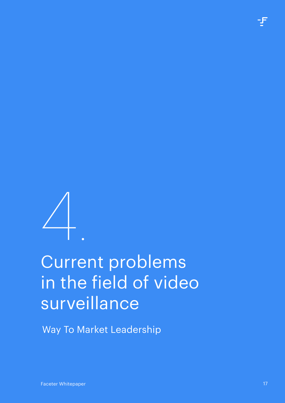

# <span id="page-16-0"></span>Current problems in the field of video surveillance 4.

Way To Market Leadership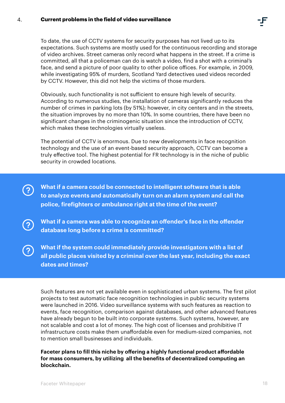To date, the use of CCTV systems for security purposes has not lived up to its expectations. Such systems are mostly used for the continuous recording and storage of video archives. Street cameras only record what happens in the street. If a crime is committed, all that a policeman can do is watch a video, find a shot with a criminal's face, and send a picture of poor quality to other police offices. For example, in 2009, while investigating 95% of murders, Scotland Yard detectives used videos recorded by CCTV. However, this did not help the victims of those murders.

Obviously, such functionality is not sufficient to ensure high levels of security. According to numerous studies, the installation of cameras significantly reduces the number of crimes in parking lots (by 51%); however, in city centers and in the streets, the situation improves by no more than 10%. In some countries, there have been no significant changes in the criminogenic situation since the introduction of CCTV, which makes these technologies virtually useless.

The potential of CCTV is enormous. Due to new developments in face recognition technology and the use of an event-based security approach, CCTV can become a truly effective tool. The highest potential for FR technology is in the niche of public security in crowded locations.

**What if a camera could be connected to intelligent software that is able to analyze events and automatically turn on an alarm system and call the police, firefighters or ambulance right at the time of the event?**

**What if a camera was able to recognize an offender's face in the offender database long before a crime is committed?**

**What if the system could immediately provide investigators with a list of all public places visited by a criminal over the last year, including the exact dates and times?**

Such features are not yet available even in sophisticated urban systems. The first pilot projects to test automatic face recognition technologies in public security systems were launched in 2016. Video surveillance systems with such features as reaction to events, face recognition, comparison against databases, and other advanced features have already begun to be built into corporate systems. Such systems, however, are not scalable and cost a lot of money. The high cost of licenses and prohibitive IT infrastructure costs make them unaffordable even for medium-sized companies, not to mention small businesses and individuals.

**Faceter plans to fill this niche by offering a highly functional product affordable for mass consumers, by utilizing all the benefits of decentralized computing an blockchain.**

 $\left( 3\right)$ 

 $\boldsymbol{P}$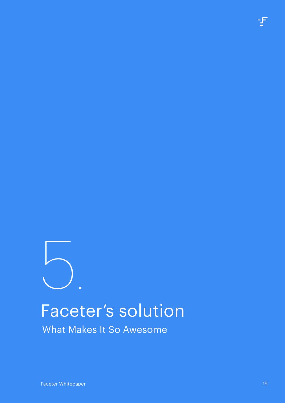# <span id="page-18-0"></span>Faceter's solution 5.

What Makes It So Awesome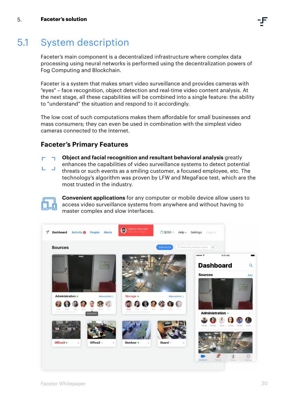## <span id="page-19-0"></span>5.1 System description

Faceter's main component is a decentralized infrastructure where complex data processing using neural networks is performed using the decentralization powers of Fog Computing and Blockchain.

Faceter is a system that makes smart video surveillance and provides cameras with "eyes" – face recognition, object detection and real-time video content analysis. At the next stage, all these capabilities will be combined into a single feature: the ability to "understand" the situation and respond to it accordingly.

The low cost of such computations makes them affordable for small businesses and mass consumers; they can even be used in combination with the simplest video cameras connected to the Internet.

## **Faceter's Primary Features**

- **Object and facial recognition and resultant behavioral analysis** greatly г
- enhances the capabilities of video surveillance systems to detect potential threats or such events as a smiling customer, a focused employee, etc. The technology's algorithm was proven by LFW and MegaFace test, which are the most trusted in the industry.



**Convenient applications** for any computer or mobile device allow users to access video surveillance systems from anywhere and without having to master complex and slow interfaces.

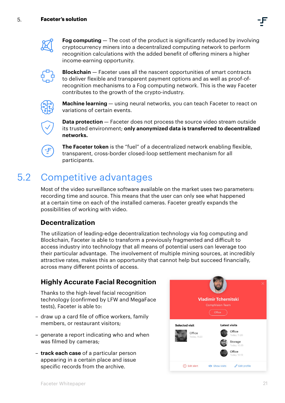



<span id="page-20-0"></span>5.

**Fog computing** — The cost of the product is significantly reduced by involving cryptocurrency miners into a decentralized computing network to perform recognition calculations with the added benefit of offering miners a higher income-earning opportunity.



**Blockchain** — Faceter uses all the nascent opportunities of smart contracts to deliver flexible and transparent payment options and as well as proof-ofrecognition mechanisms to a Fog computing network. This is the way Faceter contributes to the growth of the crypto-industry.



**Machine learning** — using neural networks, you can teach Faceter to react on variations of certain events.



**Data protection** – Faceter does not process the source video stream outside its trusted environment; **only anonymized data is transferred to decentralized networks.**



**The Faceter token** is the "fuel" of a decentralized network enabling flexible, transparent, cross-border closed-loop settlement mechanism for all participants.

#### Competitive advantages 5.2

Most of the video surveillance software available on the market uses two parameters: recording time and source. This means that the user can only see what happened at a certain time on each of the installed cameras. Faceter greatly expands the possibilities of working with video.

## **Decentralization**

The utilization of leading-edge decentralization technology via fog computing and Blockchain, Faceter is able to transform a previously fragmented and difficult to access industry into technology that all means of potential users can leverage too their particular advantage. The involvement of multiple mining sources, at incredibly attractive rates, makes this an opportunity that cannot help but succeed financially, across many different points of access.

## **Highly Accurate Facial Recognition**

Thanks to the high-level facial recognition technology (confirmed by LFW and MegaFace tests), Faceter is able to:

- draw up a card file of office workers, family members, or restaurant visitors;
- generate a report indicating who and when was filmed by cameras;
- **track each case** of a particular person appearing in a certain place and issue specific records from the archive.

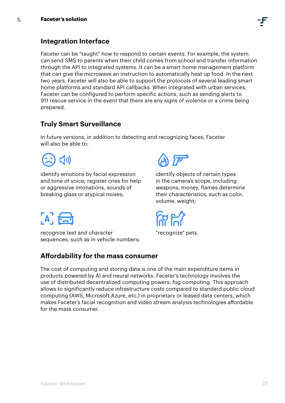

## **Integration Interface**

Faceter can be "taught" how to respond to certain events. For example, the system can send SMS to parents when their child comes from school and transfer information through the API to integrated systems. It can be a smart home management platform that can give the microwave an instruction to automatically heat up food. In the next two years, Faceter will also be able to support the protocols of several leading smart home platforms and standard API callbacks. When integrated with urban services, Faceter can be configured to perform specific actions, such as sending alerts to 911 rescue service in the event that there are any signs of violence or a crime being prepared.

## **Truly Smart Surveillance**

In future versions, in addition to detecting and recognizing faces, Faceter will also be able to:

【小】

identify emotions by facial expression and tone of voice; register cries for help or aggressive intonations, sounds of breaking glass or atypical noises;



identify objects of certain types in the camera's scope, including weapons, money, flames determine their characteristics, such as color, volume, weight;

"recognize" pets.

## $A$ ,  $A$

recognize text and character sequences, such as in vehicle numbers;

## **Affordability for the mass consumer**

The cost of computing and storing data is one of the main expenditure items in products powered by AI and neural networks. Faceter's technology involves the use of distributed decentralized computing powers: fog computing. This approach allows to significantly reduce infrastructure costs compared to standard public cloud computing (AWS, Microsoft Azure, etc.) in proprietary or leased data centers, which makes Faceter's facial recognition and video stream analysis technologies affordable for the mass consumer.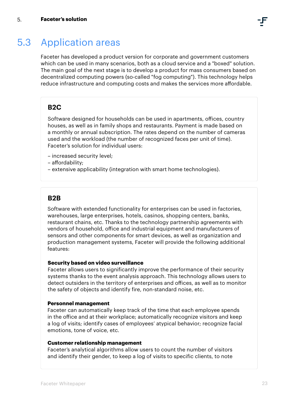#### <span id="page-22-0"></span>Application areas 5.3

Faceter has developed a product version for corporate and government customers which can be used in many scenarios, both as a cloud service and a "boxed" solution. The main goal of the next stage is to develop a product for mass consumers based on decentralized computing powers (so-called "fog computing"). This technology helps reduce infrastructure and computing costs and makes the services more affordable.

## **B2C**

Software designed for households can be used in apartments, offices, country houses, as well as in family shops and restaurants. Payment is made based on a monthly or annual subscription. The rates depend on the number of cameras used and the workload (the number of recognized faces per unit of time). Faceter's solution for individual users:

- increased security level;
- affordability;
- extensive applicability (integration with smart home technologies).

## **B2B**

Software with extended functionality for enterprises can be used in factories, warehouses, large enterprises, hotels, casinos, shopping centers, banks, restaurant chains, etc. Thanks to the technology partnership agreements with vendors of household, office and industrial equipment and manufacturers of sensors and other components for smart devices, as well as organization and production management systems, Faceter will provide the following additional features:

#### **Security based on video surveillance**

Faceter allows users to significantly improve the performance of their security systems thanks to the event analysis approach. This technology allows users to detect outsiders in the territory of enterprises and offices, as well as to monitor the safety of objects and identify fire, non-standard noise, etc.

### **Personnel management**

Faceter can automatically keep track of the time that each employee spends in the office and at their workplace; automatically recognize visitors and keep a log of visits; identify cases of employees' atypical behavior; recognize facial emotions, tone of voice, etc.

#### **Customer relationship management**

Faceter's analytical algorithms allow users to count the number of visitors and identify their gender, to keep a log of visits to specific clients, to note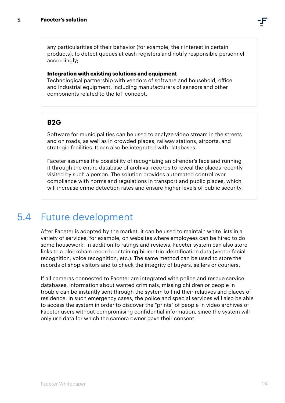<span id="page-23-0"></span>any particularities of their behavior (for example, their interest in certain products), to detect queues at cash registers and notify responsible personnel accordingly;

#### **Integration with existing solutions and equipment**

Technological partnership with vendors of software and household, office and industrial equipment, including manufacturers of sensors and other components related to the IoT concept.

## **B2G**

Software for municipalities can be used to analyze video stream in the streets and on roads, as well as in crowded places, railway stations, airports, and strategic facilities. It can also be integrated with databases.

Faceter assumes the possibility of recognizing an offender's face and running it through the entire database of archival records to reveal the places recently visited by such a person. The solution provides automated control over compliance with norms and regulations in transport and public places, which will increase crime detection rates and ensure higher levels of public security.

#### Future development 5.4

After Faceter is adopted by the market, it can be used to maintain white lists in a variety of services; for example, on websites where employees can be hired to do some housework. In addition to ratings and reviews, Faceter system can also store links to a blockchain record containing biometric identification data (vector facial recognition, voice recognition, etc.). The same method can be used to store the records of shop visitors and to check the integrity of buyers, sellers or couriers.

If all cameras connected to Faceter are integrated with police and rescue service databases, information about wanted criminals, missing children or people in trouble can be instantly sent through the system to find their relatives and places of residence. In such emergency cases, the police and special services will also be able to access the system in order to discover the "prints" of people in video archives of Faceter users without compromising confidential information, since the system will only use data for which the camera owner gave their consent.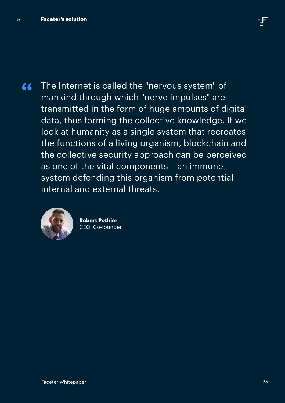The Internet is called the "nervous system" of  $\epsilon$ mankind through which "nerve impulses" are transmitted in the form of huge amounts of digital data, thus forming the collective knowledge. If we look at humanity as a single system that recreates the functions of a living organism, blockchain and the collective security approach can be perceived as one of the vital components – an immune system defending this organism from potential internal and external threats.



**Robert Pothier** CEO, Сo-founder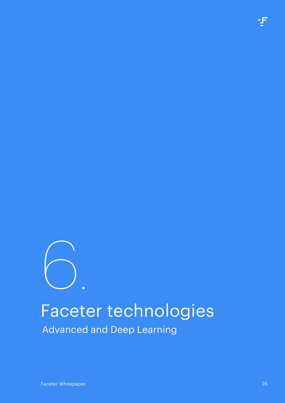<span id="page-25-0"></span>

Advanced and Deep Learning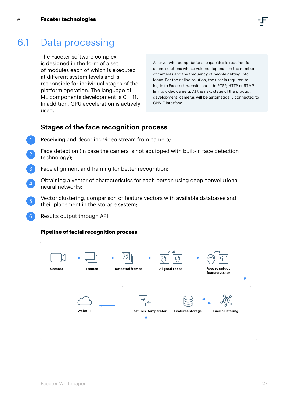#### <span id="page-26-0"></span>Data processing 6.1

The Faceter software complex is designed in the form of a set of modules each of which is executed at different system levels and is responsible for individual stages of the platform operation. The language of ML components development is C++11. In addition, GPU acceleration is actively used.

A server with computational capacities is required for offline solutions whose volume depends on the number of cameras and the frequency of people getting into focus. For the online solution, the user is required to log in to Faceter's website and add RTSP, HTTP or RTMP link to video camera. At the next stage of the product development, cameras will be automatically connected to ONVIF interface.

## **Stages of the face recognition process**

- Receiving and decoding video stream from camera;
- Face detection (in case the camera is not equipped with built-in face detection technology); 2
- Face alignment and framing for better recognition;
- Obtaining a vector of characteristics for each person using deep convolutional neural networks;  $\Delta$
- Vector clustering, comparison of feature vectors with available databases and their placement in the storage system;  $\boxed{5}$
- Results output through API.  $6<sup>6</sup>$

#### **Pipeline of facial recognition process**

| <b>Frames</b><br>Camera | بسيما<br><b>Detected frames</b> | $\rightarrow$<br>يتها<br><b>Aligned Faces</b> | B<br>Face to unique    |
|-------------------------|---------------------------------|-----------------------------------------------|------------------------|
|                         |                                 |                                               | feature vector         |
| WebAPI                  | <b>Features Comparator</b>      | <b>Features storage</b>                       | <b>Face clustering</b> |
|                         |                                 |                                               |                        |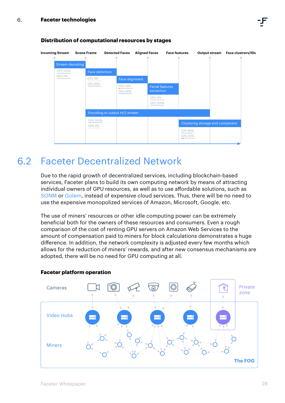

#### <span id="page-27-0"></span>**Distribution of computational resources by stages**

## Faceter Decentralized Network 6.2

Due to the rapid growth of decentralized services, including blockchain-based services, Faceter plans to build its own computing network by means of attracting individual owners of GPU resources, as well as to use affordable solutions, such as [SONM](http://sonm.io/) or [Golem](https://golem.network/), instead of expensive cloud services. Thus, there will be no need to use the expensive monopolized services of Amazon, Microsoft, Google, etc.

The use of miners' resources or other idle computing power can be extremely beneficial both for the owners of these resources and consumers. Even a rough comparison of the cost of renting GPU servers on Amazon Web Services to the amount of compensation paid to miners for block calculations demonstrates a huge difference. In addition, the network complexity is adjusted every few months which allows for the reduction of miners' rewards, and after new consensus mechanisms are adopted, there will be no need for GPU computing at all.



#### **Faceter platform operation**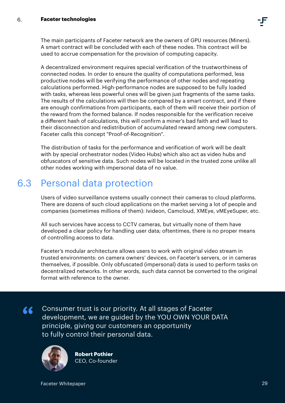<span id="page-28-0"></span>The main participants of Faceter network are the owners of GPU resources (Miners). A smart contract will be concluded with each of these nodes. This contract will be used to accrue compensation for the provision of computing capacity.

A decentralized environment requires special verification of the trustworthiness of connected nodes. In order to ensure the quality of computations performed, less productive nodes will be verifying the performance of other nodes and repeating calculations performed. High-performance nodes are supposed to be fully loaded with tasks, whereas less powerful ones will be given just fragments of the same tasks. The results of the calculations will then be compared by a smart contract, and if there are enough confirmations from participants, each of them will receive their portion of the reward from the formed balance. If nodes responsible for the verification receive a different hash of calculations, this will confirm a miner's bad faith and will lead to their disconnection and redistribution of accumulated reward among new computers. Faceter calls this concept "Proof-of-Recognition".

The distribution of tasks for the performance and verification of work will be dealt with by special orchestrator nodes (Video Hubs) which also act as video hubs and obfuscators of sensitive data. Such nodes will be located in the trusted zone unlike all other nodes working with impersonal data of no value.

#### Personal data protection 6.3

Users of video surveillance systems usually connect their cameras to cloud platforms. There are dozens of such cloud applications on the market serving a lot of people and companies (sometimes millions of them): Ivideon, Camcloud, XMEye, vMEyeSuper, etc.

All such services have access to CCTV cameras, but virtually none of them have developed a clear policy for handling user data; oftentimes, there is no proper means of controlling access to data.

Faceter's modular architecture allows users to work with original video stream in trusted environments: on camera owners' devices, on Faceter's servers, or in cameras themselves, if possible. Only obfuscated (impersonal) data is used to perform tasks on decentralized networks. In other words, such data cannot be converted to the original format with reference to the owner.

Consumer trust is our priority. At all stages of Faceter 66 development, we are guided by the YOU OWN YOUR DATA principle, giving our customers an opportunity to fully control their personal data.



**Robert Pothier** CEO, Co-founder

Faceter Whitepaper 29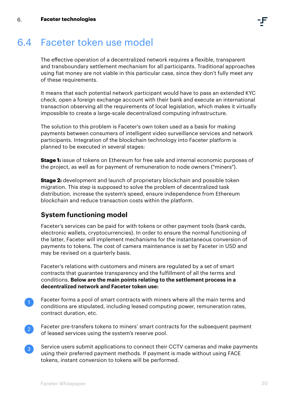

## <span id="page-29-0"></span>6.4 Faceter token use model

The effective operation of a decentralized network requires a flexible, transparent and transboundary settlement mechanism for all participants. Traditional approaches using fiat money are not viable in this particular case, since they don't fully meet any of these requirements.

It means that each potential network participant would have to pass an extended KYC check, open a foreign exchange account with their bank and execute an international transaction observing all the requirements of local legislation, which makes it virtually impossible to create a large-scale decentralized computing infrastructure.

The solution to this problem is Faceter's own token used as a basis for making payments between consumers of intelligent video surveillance services and network participants. Integration of the blockchain technology into Faceter platform is planned to be executed in several stages:

**Stage 1:** issue of tokens on Ethereum for free sale and internal economic purposes of the project, as well as for payment of remuneration to node owners ("miners").

**Stage 2:** development and launch of proprietary blockchain and possible token migration. This step is supposed to solve the problem of decentralized task distribution, increase the system's speed, ensure independence from Ethereum blockchain and reduce transaction costs within the platform.

## **System functioning model**

Faceter's services can be paid for with tokens or other payment tools (bank cards, electronic wallets, cryptocurrencies). In order to ensure the normal functioning of the latter, Faceter will implement mechanisms for the instantaneous conversion of payments to tokens. The cost of camera maintenance is set by Faceter in USD and may be revised on a quarterly basis.

Faceter's relations with customers and miners are regulated by a set of smart contracts that guarantee transparency and the fulfillment of all the terms and conditions. **Below are the main points relating to the settlement process in a decentralized network and Faceter token use:**

- Faceter forms a pool of smart contracts with miners where all the main terms and conditions are stipulated, including leased computing power, remuneration rates, contract duration, etc.
- Faceter pre-transfers tokens to miners' smart contracts for the subsequent payment of leased services using the system's reserve pool. 2
- Service users submit applications to connect their CCTV cameras and make payments using their preferred payment methods. If payment is made without using FACE tokens, instant conversion to tokens will be performed.  $\lceil 3 \rceil$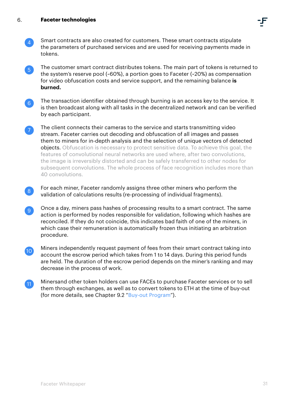- Smart contracts are also created for customers. These smart contracts stipulate the parameters of purchased services and are used for receiving payments made in tokens. 4
- The customer smart contract distributes tokens. The main part of tokens is returned to the system's reserve pool (~60%), a portion goes to Faceter (~20%) as compensation for video obfuscation costs and service support, and the remaining balance **is burned.** 5
- The transaction identifier obtained through burning is an access key to the service. It is then broadcast along with all tasks in the decentralized network and can be verified by each participant. 6
- The client connects their cameras to the service and starts transmitting video stream. Faceter carries out decoding and obfuscation of all images and passes them to miners for in-depth analysis and the selection of unique vectors of detected objects. Obfuscation is necessary to protect sensitive data. To achieve this goal, the features of convolutional neural networks are used where, after two convolutions, the image is irreversibly distorted and can be safely transferred to other nodes for subsequent convolutions. The whole process of face recognition includes more than 40 convolutions.
- For each miner, Faceter randomly assigns three other miners who perform the validation of calculations results (re-processing of individual fragments). 8
- Once a day, miners pass hashes of processing results to a smart contract. The same action is performed by nodes responsible for validation, following which hashes are reconciled. If they do not coincide, this indicates bad faith of one of the miners, in which case their remuneration is automatically frozen thus initiating an arbitration procedure. 9
- Miners independently request payment of fees from their smart contract taking into account the escrow period which takes from 1 to 14 days. During this period funds are held. The duration of the escrow period depends on the miner's ranking and may decrease in the process of work. 10
- Minersand other token holders can use FACEs to purchase Faceter services or to sell them through exchanges, as well as to convert tokens to ETH at the time of buy-out (for more details, see Chapter 9.2 "[Buy-out Program](#page-38-0)"). 11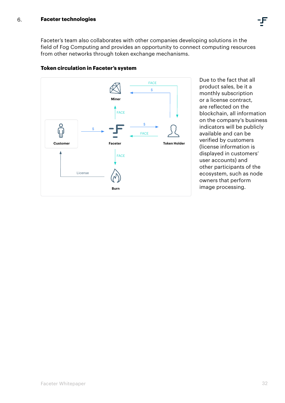Faceter's team also collaborates with other companies developing solutions in the field of Fog Computing and provides an opportunity to connect computing resources from other networks through token exchange mechanisms.



#### **Token circulation in Faceter's system**

Due to the fact that all product sales, be it a monthly subscription or a license contract, are reflected on the blockchain, all information on the company's business indicators will be publicly available and can be verified by customers (license information is displayed in customers' user accounts) and other participants of the ecosystem, such as node owners that perform image processing.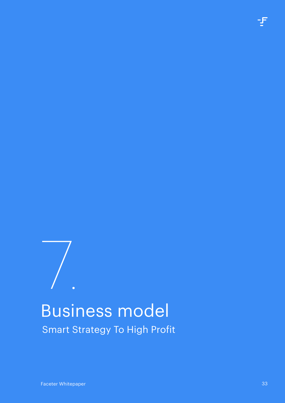# <span id="page-32-0"></span>Business model Smart Strategy To High Profit 7.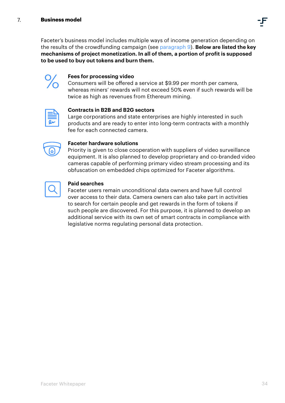Faceter's business model includes multiple ways of income generation depending on the results of the crowdfunding campaign (see [paragraph 9](#page-37-0)). **Below are listed the key mechanisms of project monetization. In all of them, a portion of profit is supposed to be used to buy out tokens and burn them.**



#### **Fees for processing video**

Consumers will be offered a service at \$9.99 per month per camera, whereas miners' rewards will not exceed 50% even if such rewards will be twice as high as revenues from Ethereum mining.



#### **Contracts in B2B and B2G sectors**

Large corporations and state enterprises are highly interested in such products and are ready to enter into long-term contracts with a monthly fee for each connected camera.



#### **Faceter hardware solutions**

Priority is given to close cooperation with suppliers of video surveillance equipment. It is also planned to develop proprietary and co-branded video cameras capable of performing primary video stream processing and its obfuscation on embedded chips optimized for Faceter algorithms.



#### **Paid searches**

Faceter users remain unconditional data owners and have full control over access to their data. Camera owners can also take part in activities to search for certain people and get rewards in the form of tokens if such people are discovered. For this purpose, it is planned to develop an additional service with its own set of smart contracts in compliance with legislative norms regulating personal data protection.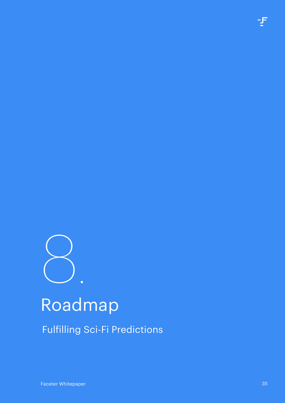<span id="page-34-0"></span>

# Roadmap

Fulfilling Sci-Fi Predictions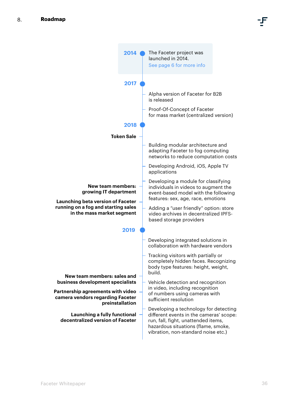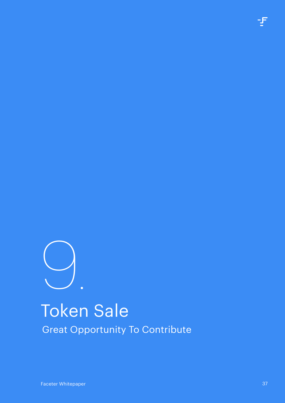<span id="page-36-0"></span>

## Token Sale Great Opportunity To Contribute

Faceter Whitepaper 37 (1999) and 200 million and 200 million and 200 million and 37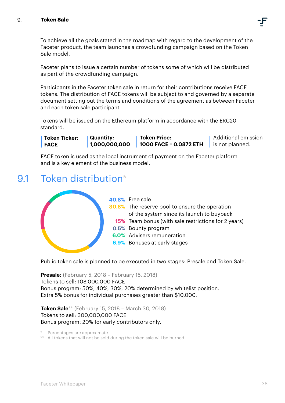#### <span id="page-37-0"></span>9. **Token Sale**



To achieve all the goals stated in the roadmap with regard to the development of the Faceter product, the team launches a crowdfunding campaign based on the Token Sale model.

Faceter plans to issue a certain number of tokens some of which will be distributed as part of the crowdfunding campaign.

Participants in the Faceter token sale in return for their contributions receive FACE tokens. The distribution of FACE tokens will be subject to and governed by a separate document setting out the terms and conditions of the agreement as between Faceter and each token sale participant.

Tokens will be issued on the Ethereum platform in accordance with the ERC20 standard.

**Quantity: 1,000,000,000 Token Price: 1000 FACE = 0.0872 ETH** Additional emission is not planned. **Token Ticker: FACE**

FACE token is used as the local instrument of payment on the Faceter platform and is a key element of the business model.

## 9.1 Token distribution<sup>\*</sup>



Public token sale is planned to be executed in two stages: Presale and Token Sale.

**Presale:** (February 5, 2018 – February 15, 2018) Tokens to sell: 108,000,000 FACE Bonus program: 50%, 40%, 30%, 20% determined by whitelist position. Extra 5% bonus for individual purchases greater than \$10,000.

**Token Sale\*\*** (February 15, 2018 – March 30, 2018) Tokens to sell: 300,000,000 FACE Bonus program: 20% for early contributors only.

Percentages are approximate.

\*\* All tokens that will not be sold during the token sale will be burned.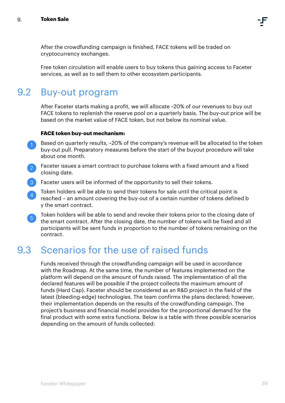<span id="page-38-0"></span>After the crowdfunding campaign is finished, FACE tokens will be traded on cryptocurrency exchanges.

Free token circulation will enable users to buy tokens thus gaining access to Faceter services, as well as to sell them to other ecosystem participants.

## 9.2 Buy-out program

After Faceter starts making a profit, we will allocate ~20% of our revenues to buy out FACE tokens to replenish the reserve pool on a quarterly basis. The buy-out price will be based on the market value of FACE token, but not below its nominal value.

#### **FACE token buy-out mechanism:**

- Based on quarterly results, ~20% of the company's revenue will be allocated to the token buy-out pull. Preparatory measures before the start of the buyout procedure will take about one month. 1
- Faceter issues a smart contract to purchase tokens with a fixed amount and a fixed closing date. 2
- **Faceter users will be informed of the opportunity to sell their tokens.** 3
- Token holders will be able to send their tokens for sale until the critical point is reached – an amount covering the buy-out of a certain number of tokens defined b y the smart contract.  $\overline{4}$
- Token holders will be able to send and revoke their tokens prior to the closing date of the smart contract. After the closing date, the number of tokens will be fixed and all participants will be sent funds in proportion to the number of tokens remaining on the contract.  $\sqrt{5}$

#### Scenarios for the use of raised funds 9.3

Funds received through the crowdfunding campaign will be used in accordance with the Roadmap. At the same time, the number of features implemented on the platform will depend on the amount of funds raised. The implementation of all the declared features will be possible if the project collects the maximum amount of funds (Hard Cap). Faceter should be considered as an R&D project in the field of the latest (bleeding-edge) technologies. The team confirms the plans declared; however, their implementation depends on the results of the crowdfunding campaign. The project's business and financial model provides for the proportional demand for the final product with some extra functions. Below is a table with three possible scenarios depending on the amount of funds collected: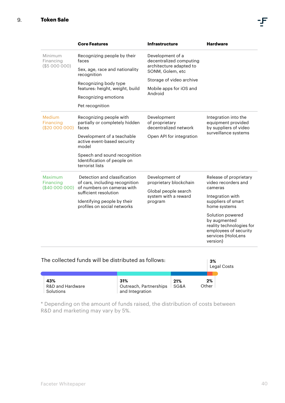Maximum Financing (\$40 000 000)

|                                                     | <b>Core Features</b>                                                           | <b>Infrastructure</b>                                  | <b>Hardware</b>                                                                             |  |
|-----------------------------------------------------|--------------------------------------------------------------------------------|--------------------------------------------------------|---------------------------------------------------------------------------------------------|--|
| Minimum<br>Financing                                | Recognizing people by their<br>faces                                           | Development of a<br>decentralized computing            |                                                                                             |  |
| (\$5000000)                                         | Sex, age, race and nationality<br>recognition                                  | architecture adapted to<br>SONM, Golem, etc            |                                                                                             |  |
|                                                     | Recognizing body type                                                          | Storage of video archive                               |                                                                                             |  |
|                                                     | features: height, weight, build                                                | Mobile apps for iOS and                                |                                                                                             |  |
|                                                     | Recognizing emotions                                                           | Android                                                |                                                                                             |  |
|                                                     | Pet recognition                                                                |                                                        |                                                                                             |  |
| <b>Medium</b><br><b>Financing</b><br>(\$20 000 000) | Recognizing people with<br>partially or completely hidden<br>faces             | Development<br>of proprietary<br>decentralized network | Integration into the<br>equipment provided<br>by suppliers of video<br>surveillance systems |  |
|                                                     | Development of a teachable<br>active event-based security<br>model             | Open API for integration                               |                                                                                             |  |
|                                                     | Speech and sound recognition<br>Identification of people on<br>terrorist lists |                                                        |                                                                                             |  |
|                                                     |                                                                                |                                                        |                                                                                             |  |

Development of proprietary blockchain Global people search system with a reward

program

| profiles on social networks                         |     |     |          | home systems                                                                                                |  |
|-----------------------------------------------------|-----|-----|----------|-------------------------------------------------------------------------------------------------------------|--|
|                                                     |     |     | version) | Solution powered<br>by augmented<br>reality technologies for<br>employees of security<br>services (HoloLens |  |
| The collected funds will be distributed as follows: |     |     | 3%       | Legal Costs                                                                                                 |  |
| 43%                                                 | 31% | 21% | 2%       |                                                                                                             |  |

Outreach, Partnerships SG&A

Other

Release of proprietary video recorders and

cameras

Integration with suppliers of smart

\* Depending on the amount of funds raised, the distribution of costs between R&D and marketing may vary by 5%.

and Integration

 Detection and classification of cars, including recognition of numbers on cameras with

Identifying people by their

sufficient resolution

R&D and Hardware

Solutions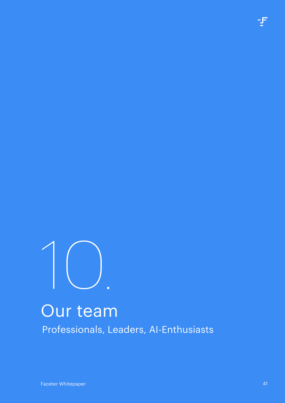<span id="page-40-0"></span>

## Our team Professionals, Leaders, AI-Enthusiasts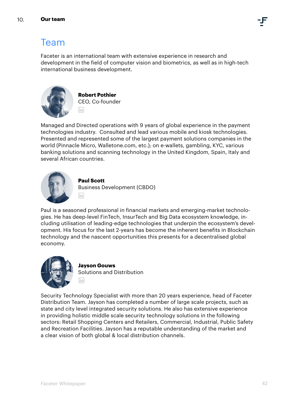## Team

Faceter is an international team with extensive experience in research and development in the field of computer vision and biometrics, as well as in high-tech international business development.



**Robert Pothier** CEO, Co-founder m

Managed and Directed operations with 9 years of global experience in the payment technologies industry. Consulted and lead various mobile and kiosk technologies. Presented and represented some of the largest payment solutions companies in the world (Pinnacle Micro, Walletone.com, etc.); on e-wallets, gambling, KYC, various banking solutions and scanning technology in the United Kingdom, Spain, Italy and several African countries.



#### **Paul Scott**

m

Business Development (CBDO)

Paul is a seasoned professional in financial markets and emerging-market technologies. He has deep-level FinTech, InsurTech and Big Data ecosystem knowledge, including utilisation of leading-edge technologies that underpin the ecosystem's development. His focus for the last 2-years has become the inherent benefits in Blockchain technology and the nascent opportunities this presents for a decentralised global economy.



#### **Jayson Gouws** Solutions and Distribution m

Security Technology Specialist with more than 20 years experience, head of Faceter Distribution Team. Jayson has completed a number of large scale projects, such as state and city level integrated security solutions. He also has extensive experience in providing holistic middle scale security technology solutions in the following sectors: Retail Shopping Centers and Retailers, Commercial, Industrial, Public Safety and Recreation Facilities. Jayson has a reputable understanding of the market and a clear vision of both global & local distribution channels.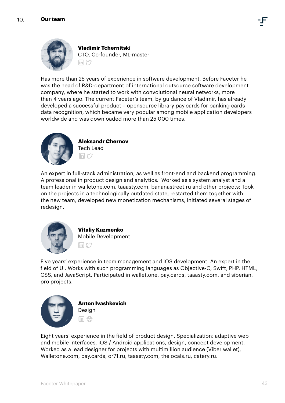



**Vladimir Tchernitski** CTO, Co-founder, ML-master  $\overline{\ln}$  $\mathfrak{O}$ 

Has more than 25 years of experience in software development. Before Faceter he was the head of R&D-department of international outsource software development company, where he started to work with convolutional neural networks, more than 4 years ago. The current Faceter's team, by guidance of Vladimir, has already developed a successful product – opensource library pay.cards for banking cards data recognition, which became very popular among mobile application developers worldwide and was downloaded more than 25 000 times.



**Aleksandr Chernov** Tech Lead $\overline{\mathsf{lin}}$   $\mathsf{M}$ 

An expert in full-stack administration, as well as front-end and backend programming. A professional in product design and analytics. Worked as a system analyst and a team leader in walletone.com, taaasty.com, bananastreet.ru and other projects; Took on the projects in a technologically outdated state, restarted them together with the new team, developed new monetization mechanisms, initiated several stages of redesign.



**Vitaliy Kuzmenko** Mobile Development  $\overline{\mathsf{In}}$   $\mathfrak{O}$ 

Five years' experience in team management and iOS development. An expert in the field of UI. Works with such programming languages as Objective-C, Swift, PHP, HTML, CSS, and JavaScript. Participated in wallet.one, pay.cards, taaasty.com, and siberian. pro projects.



**Anton Ivashkevich** Design in www

Eight years' experience in the field of product design. Specialization: adaptive web and mobile interfaces, iOS / Android applications, design, concept development. Worked as a lead designer for projects with multimillion audience (Viber wallet), Walletone.com, pay.cards, or71.ru, taaasty.com, thelocals.ru, catery.ru.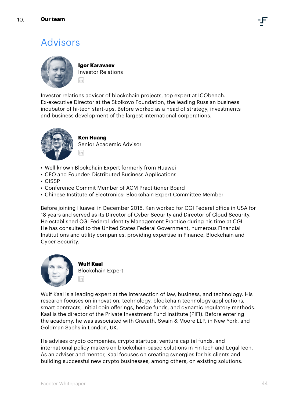## Advisors



**Igor Karavaev** Investor Relations **Fin** 

Investor relations advisor of blockchain projects, top expert at ICObench. Ex-executive Director at the Skolkovo Foundation, the leading Russian business incubator of hi-tech start-ups. Before worked as a head of strategy, investments and business development of the largest international corporations.



### **Ken Huang**

Senior Academic Advisor lin

- Well known Blockchain Expert formerly from Huawei
- CEO and Founder: Distributed Business Applications
- CISSP
- Conference Commit Member of ACM Practitioner Board
- Chinese Institute of Electronics: Blockchain Expert Committee Member

Before joining Huawei in December 2015, Ken worked for CGI Federal office in USA for 18 years and served as its Director of Cyber Security and Director of Cloud Security. He established CGI Federal Identity Management Practice during his time at CGI. He has consulted to the United States Federal Government, numerous Financial Institutions and utility companies, providing expertise in Finance, Blockchain and Cyber Security.



**Wulf Kaal** Blockchain Expert lin

Wulf Kaal is a leading expert at the intersection of law, business, and technology. His research focuses on innovation, technology, blockchain technology applications, smart contracts, initial coin offerings, hedge funds, and dynamic regulatory methods. Kaal is the director of the Private Investment Fund Institute (PIFI). Before entering the academy, he was associated with Cravath, Swain & Moore LLP, in New York, and Goldman Sachs in London, UK.

He advises crypto companies, crypto startups, venture capital funds, and international policy makers on blockchain-based solutions in FinTech and LegalTech. As an adviser and mentor, Kaal focuses on creating synergies for his clients and building successful new crypto businesses, among others, on existing solutions.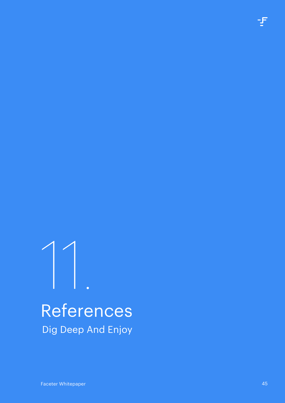# <span id="page-44-0"></span>References Dig Deep And Enjoy 11.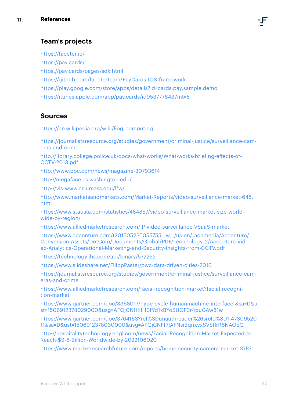## **Team's projects**

https://faceter.io/ https://pay.cards/ https://pay.cards/pages/sdk.html https://github.com/faceterteam/PayCards-IOS-framework https://play.google.com/store/apps/details?id=cards.pay.sample.demo https://itunes.apple.com/app/pay.cards/id953777643?mt=8

## **Sources**

https://en.wikipedia.org/wiki/Fog\_computing

[https://journalistsresource.org/studies/government/criminal-justice/surveillance-cam](https://journalistsresource.org/studies/government/criminal-justice/surveillance-cameras-and-crime)[eras-and-crime](https://journalistsresource.org/studies/government/criminal-justice/surveillance-cameras-and-crime)

[http://library.college.police.uk/docs/what-works/What-works-briefing-effects-of-](http://library.college.police.uk/docs/what-works/What-works-briefing-effects-of-CCTV-2013.pdf)[CCTV-2013.pdf](http://library.college.police.uk/docs/what-works/What-works-briefing-effects-of-CCTV-2013.pdf)

http://www.bbc.com/news/magazine-30793614

http://megaface.cs.washington.edu/

http://vis-www.cs.umass.edu/lfw/

http://www.marketsandmarkets.com/Market-Reports/video-surveillance-market-645. html

https://www.statista.com/statistics/484857/video-surveillance-market-size-worldwide-by-region/

https://www.alliedmarketresearch.com/IP-video-surveillance-VSaaS-market

https://www.accenture.com/t20150523T055755\_w\_/us-en/\_acnmedia/Accenture/ [Conversion-Assets/DotCom/Documents/Global/PDF/Technology\\_2/Accenture-Vid](https://www.accenture.com/t20150523T055755__w__/us-en/_acnmedia/Accenture/Conversion-Assets/DotCom/Documents/Global/PDF/Technology_2/Accenture-Video-Analytics-Operational-Marketing-and-Security-Insights-from-CCTV.pdf)[eo-Analytics-Operational-Marketing-and-Security-Insights-from-CCTV.pdf](https://www.accenture.com/t20150523T055755__w__/us-en/_acnmedia/Accenture/Conversion-Assets/DotCom/Documents/Global/PDF/Technology_2/Accenture-Video-Analytics-Operational-Marketing-and-Security-Insights-from-CCTV.pdf)

https://technology.ihs.com/api/binary/572252

<https://www.slideshare.net/FilippPaster/pwc-data-driven-cities-2016>

[https://journalistsresource.org/studies/government/criminal-justice/surveillance-cam](https://journalistsresource.org/studies/government/criminal-justice/surveillance-cameras-and-crime)[eras-and-crime](https://journalistsresource.org/studies/government/criminal-justice/surveillance-cameras-and-crime)

https://www.alliedmarketresearch.com/facial-recognition-market?facial-recognition-market

https://www.gartner.com/doc/3368017/hype-cycle-humanmachine-interface-&sa=D&u st=1506912378029000&usg=AFQjCNHKHf3fYd1xBYoSUOF3r4puGAw81w

https://www.gartner.com/doc/3764163?ref%3Dunauthreader%26srcId%3D1-47309520 11&sa=D&ust=1506912378030000&usg=AFQjCNFf7lAFNsiBqnxvxSVSflrR6NAOeQ

[http://hospitalitytechnology.edgl.com/news/Facial-Recognition-Market-Expected-to-](https://hospitalitytech.com/facial-recognition-market-expected-reach-96-billion-worldwide-2022)[Reach-\\$9-6-Billion-Worldwide-by-2022106020](https://hospitalitytech.com/facial-recognition-market-expected-reach-96-billion-worldwide-2022)

https://www.marketresearchfuture.com/reports/home-security-camera-market-3787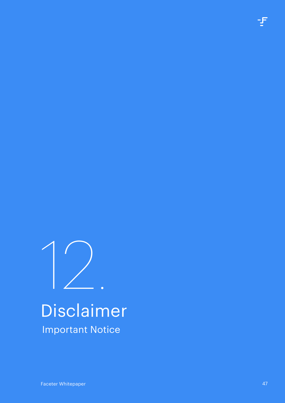<span id="page-46-0"></span>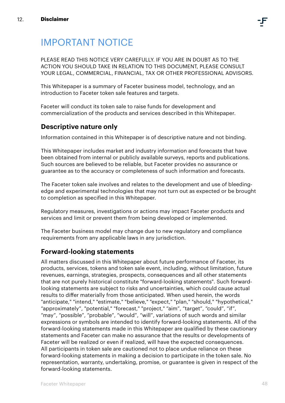## IMPORTANT NOTICE

PLEASE READ THIS NOTICE VERY CAREFULLY. IF YOU ARE IN DOUBT AS TO THE ACTION YOU SHOULD TAKE IN RELATION TO THIS DOCUMENT, PLEASE CONSULT YOUR LEGAL, COMMERCIAL, FINANCIAL, TAX OR OTHER PROFESSIONAL ADVISORS.

This Whitepaper is a summary of Faceter business model, technology, and an introduction to Faceter token sale features and targets.

Faceter will conduct its token sale to raise funds for development and commercialization of the products and services described in this Whitepaper.

## **Descriptive nature only**

Information contained in this Whitepaper is of descriptive nature and not binding.

This Whitepaper includes market and industry information and forecasts that have been obtained from internal or publicly available surveys, reports and publications. Such sources are believed to be reliable, but Faceter provides no assurance or guarantee as to the accuracy or completeness of such information and forecasts.

The Faceter token sale involves and relates to the development and use of bleedingedge and experimental technologies that may not turn out as expected or be brought to completion as specified in this Whitepaper.

Regulatory measures, investigations or actions may impact Faceter products and services and limit or prevent them from being developed or implemented.

The Faceter business model may change due to new regulatory and compliance requirements from any applicable laws in any jurisdiction.

## **Forward-looking statements**

All matters discussed in this Whitepaper about future performance of Faceter, its products, services, tokens and token sale event, including, without limitation, future revenues, earnings, strategies, prospects, consequences and all other statements that are not purely historical constitute "forward-looking statements". Such forwardlooking statements are subject to risks and uncertainties, which could cause actual results to differ materially from those anticipated. When used herein, the words "anticipate," "intend," "estimate," "believe," "expect," "plan," "should," "hypothetical," "approximately", "potential," "forecast," "project," "aim", "target", "could", "if", "may", "possible", "probable", "would", "will", variations of such words and similar expressions or symbols are intended to identify forward-looking statements. All of the forward-looking statements made in this Whitepaper are qualified by these cautionary statements and Faceter can make no assurance that the results or developments of Faceter will be realized or even if realized, will have the expected consequences. All participants in token sale are cautioned not to place undue reliance on these forward-looking statements in making a decision to participate in the token sale. No representation, warranty, undertaking, promise, or guarantee is given in respect of the forward-looking statements.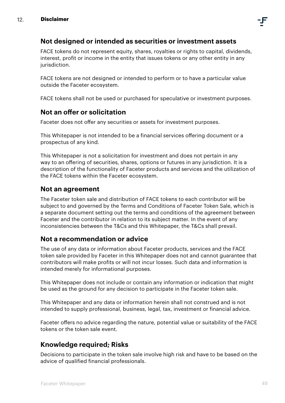

## **Not designed or intended as securities or investment assets**

FACE tokens do not represent equity, shares, royalties or rights to capital, dividends, interest, profit or income in the entity that issues tokens or any other entity in any jurisdiction.

FACE tokens are not designed or intended to perform or to have a particular value outside the Faceter ecosystem.

FACE tokens shall not be used or purchased for speculative or investment purposes.

## **Not an offer or solicitation**

Faceter does not offer any securities or assets for investment purposes.

This Whitepaper is not intended to be a financial services offering document or a prospectus of any kind.

This Whitepaper is not a solicitation for investment and does not pertain in any way to an offering of securities, shares, options or futures in any jurisdiction. It is a description of the functionality of Faceter products and services and the utilization of the FACE tokens within the Faceter ecosystem.

## **Not an agreement**

The Faceter token sale and distribution of FACE tokens to each contributor will be subject to and governed by the Terms and Conditions of Faceter Token Sale, which is a separate document setting out the terms and conditions of the agreement between Faceter and the contributor in relation to its subject matter. In the event of any inconsistencies between the T&Cs and this Whitepaper, the T&Cs shall prevail.

## **Not a recommendation or advice**

The use of any data or information about Faceter products, services and the FACE token sale provided by Faceter in this Whitepaper does not and cannot guarantee that contributors will make profits or will not incur losses. Such data and information is intended merely for informational purposes.

This Whitepaper does not include or contain any information or indication that might be used as the ground for any decision to participate in the Faceter token sale.

This Whitepaper and any data or information herein shall not construed and is not intended to supply professional, business, legal, tax, investment or financial advice.

Faceter offers no advice regarding the nature, potential value or suitability of the FACE tokens or the token sale event.

## **Knowledge required; Risks**

Decisions to participate in the token sale involve high risk and have to be based on the advice of qualified financial professionals.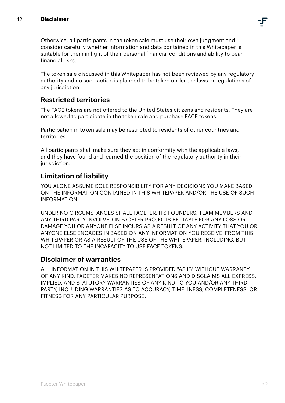Otherwise, all participants in the token sale must use their own judgment and consider carefully whether information and data contained in this Whitepaper is suitable for them in light of their personal financial conditions and ability to bear financial risks.

The token sale discussed in this Whitepaper has not been reviewed by any regulatory authority and no such action is planned to be taken under the laws or regulations of any jurisdiction.

## **Restricted territories**

The FACE tokens are not offered to the United States citizens and residents. They are not allowed to participate in the token sale and purchase FACE tokens.

Participation in token sale may be restricted to residents of other countries and territories.

All participants shall make sure they act in conformity with the applicable laws, and they have found and learned the position of the regulatory authority in their jurisdiction.

## **Limitation of liability**

YOU ALONE ASSUME SOLE RESPONSIBILITY FOR ANY DECISIONS YOU MAKE BASED ON THE INFORMATION CONTAINED IN THIS WHITEPAPER AND/OR THE USE OF SUCH INFORMATION.

UNDER NO CIRCUMSTANCES SHALL FACETER, ITS FOUNDERS, TEAM MEMBERS AND ANY THIRD PARTY INVOLVED IN FACETER PROJECTS BE LIABLE FOR ANY LOSS OR DAMAGE YOU OR ANYONE ELSE INCURS AS A RESULT OF ANY ACTIVITY THAT YOU OR ANYONE ELSE ENGAGES IN BASED ON ANY INFORMATION YOU RECEIVE FROM THIS WHITEPAPER OR AS A RESULT OF THE USE OF THE WHITEPAPER, INCLUDING, BUT NOT LIMITED TO THE INCAPACITY TO USE FACE TOKENS.

## **Disclaimer of warranties**

ALL INFORMATION IN THIS WHITEPAPER IS PROVIDED "AS IS" WITHOUT WARRANTY OF ANY KIND. FACETER MAKES NO REPRESENTATIONS AND DISCLAIMS ALL EXPRESS, IMPLIED, AND STATUTORY WARRANTIES OF ANY KIND TO YOU AND/OR ANY THIRD PARTY, INCLUDING WARRANTIES AS TO ACCURACY, TIMELINESS, COMPLETENESS, OR FITNESS FOR ANY PARTICULAR PURPOSE.